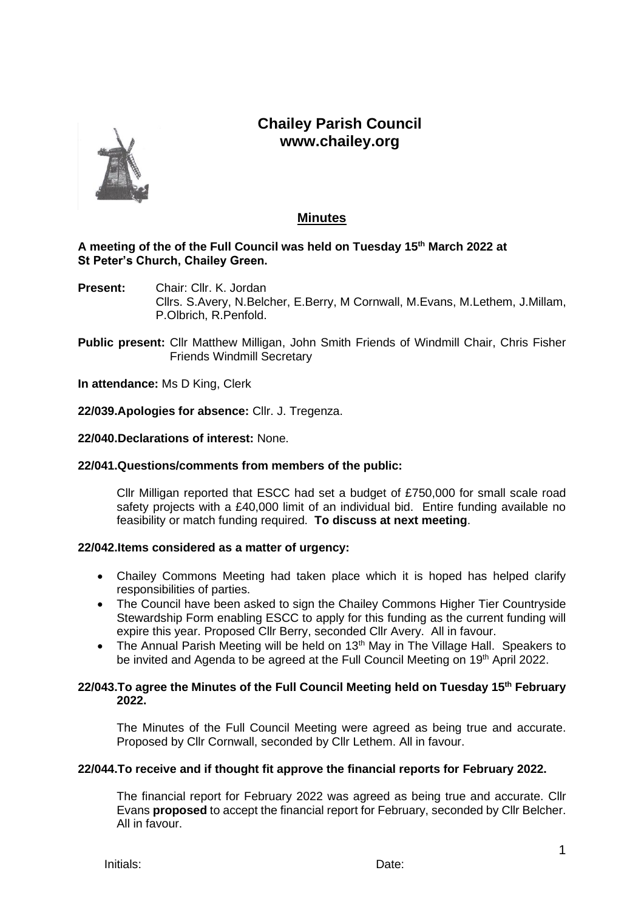# **Chailey Parish Council www.chailey.org**



## **Minutes**

## **A meeting of the of the Full Council was held on Tuesday 15th March 2022 at St Peter's Church, Chailey Green.**

- **Present:** Chair: Cllr. K. Jordan Cllrs. S.Avery, N.Belcher, E.Berry, M Cornwall, M.Evans, M.Lethem, J.Millam, P.Olbrich, R.Penfold.
- **Public present:** Cllr Matthew Milligan, John Smith Friends of Windmill Chair, Chris Fisher Friends Windmill Secretary

**In attendance:** Ms D King, Clerk

**22/039.Apologies for absence:** Cllr. J. Tregenza.

## **22/040.Declarations of interest:** None.

#### **22/041.Questions/comments from members of the public:**

Cllr Milligan reported that ESCC had set a budget of £750,000 for small scale road safety projects with a £40,000 limit of an individual bid. Entire funding available no feasibility or match funding required. **To discuss at next meeting**.

## **22/042.Items considered as a matter of urgency:**

- Chailey Commons Meeting had taken place which it is hoped has helped clarify responsibilities of parties.
- The Council have been asked to sign the Chailey Commons Higher Tier Countryside Stewardship Form enabling ESCC to apply for this funding as the current funding will expire this year. Proposed Cllr Berry, seconded Cllr Avery. All in favour.
- The Annual Parish Meeting will be held on  $13<sup>th</sup>$  May in The Village Hall. Speakers to be invited and Agenda to be agreed at the Full Council Meeting on 19<sup>th</sup> April 2022.

## **22/043.To agree the Minutes of the Full Council Meeting held on Tuesday 15th February 2022.**

The Minutes of the Full Council Meeting were agreed as being true and accurate. Proposed by Cllr Cornwall, seconded by Cllr Lethem. All in favour.

## **22/044.To receive and if thought fit approve the financial reports for February 2022.**

The financial report for February 2022 was agreed as being true and accurate. Cllr Evans **proposed** to accept the financial report for February, seconded by Cllr Belcher. All in favour.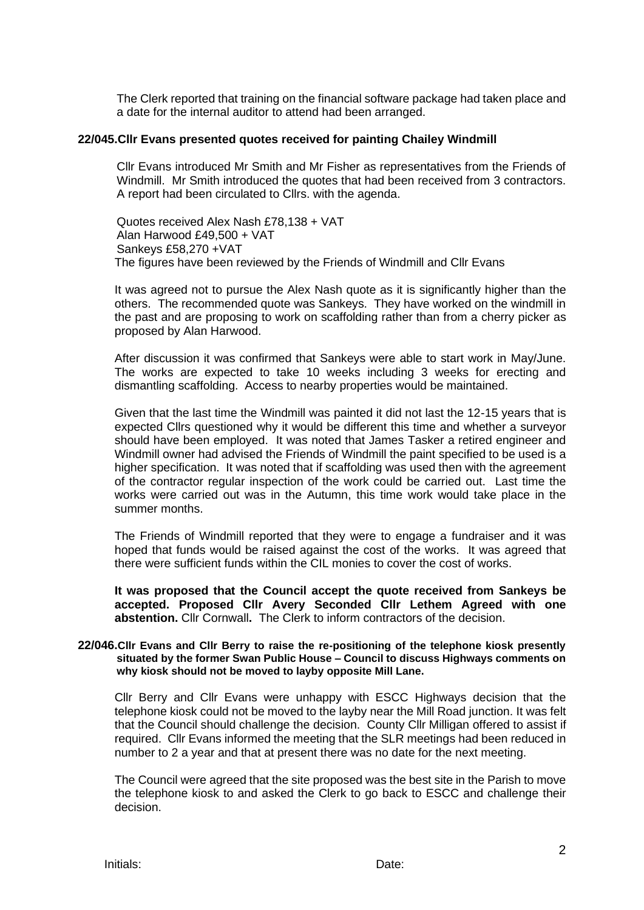The Clerk reported that training on the financial software package had taken place and a date for the internal auditor to attend had been arranged.

#### **22/045.Cllr Evans presented quotes received for painting Chailey Windmill**

Cllr Evans introduced Mr Smith and Mr Fisher as representatives from the Friends of Windmill. Mr Smith introduced the quotes that had been received from 3 contractors. A report had been circulated to Cllrs. with the agenda.

Quotes received Alex Nash £78,138 + VAT Alan Harwood £49,500 + VAT Sankeys £58,270 +VAT The figures have been reviewed by the Friends of Windmill and Cllr Evans

It was agreed not to pursue the Alex Nash quote as it is significantly higher than the others. The recommended quote was Sankeys. They have worked on the windmill in the past and are proposing to work on scaffolding rather than from a cherry picker as proposed by Alan Harwood.

After discussion it was confirmed that Sankeys were able to start work in May/June. The works are expected to take 10 weeks including 3 weeks for erecting and dismantling scaffolding. Access to nearby properties would be maintained.

Given that the last time the Windmill was painted it did not last the 12-15 years that is expected Cllrs questioned why it would be different this time and whether a surveyor should have been employed. It was noted that James Tasker a retired engineer and Windmill owner had advised the Friends of Windmill the paint specified to be used is a higher specification. It was noted that if scaffolding was used then with the agreement of the contractor regular inspection of the work could be carried out. Last time the works were carried out was in the Autumn, this time work would take place in the summer months.

The Friends of Windmill reported that they were to engage a fundraiser and it was hoped that funds would be raised against the cost of the works. It was agreed that there were sufficient funds within the CIL monies to cover the cost of works.

**It was proposed that the Council accept the quote received from Sankeys be accepted. Proposed Cllr Avery Seconded Cllr Lethem Agreed with one abstention.** Cllr Cornwall**.** The Clerk to inform contractors of the decision.

#### **22/046.Cllr Evans and Cllr Berry to raise the re-positioning of the telephone kiosk presently situated by the former Swan Public House – Council to discuss Highways comments on why kiosk should not be moved to layby opposite Mill Lane.**

Cllr Berry and Cllr Evans were unhappy with ESCC Highways decision that the telephone kiosk could not be moved to the layby near the Mill Road junction. It was felt that the Council should challenge the decision. County Cllr Milligan offered to assist if required. Cllr Evans informed the meeting that the SLR meetings had been reduced in number to 2 a year and that at present there was no date for the next meeting.

The Council were agreed that the site proposed was the best site in the Parish to move the telephone kiosk to and asked the Clerk to go back to ESCC and challenge their decision.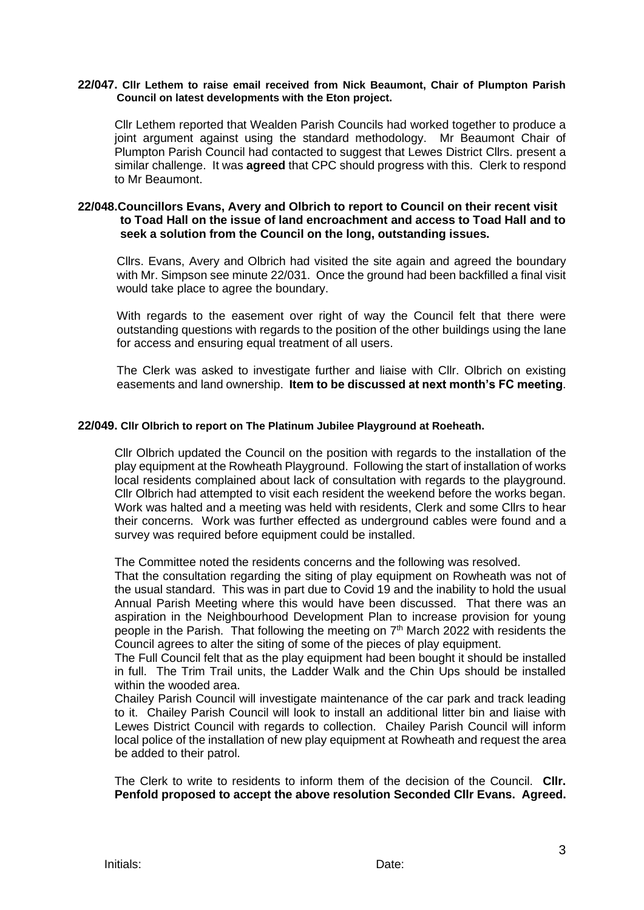#### **22/047. Cllr Lethem to raise email received from Nick Beaumont, Chair of Plumpton Parish Council on latest developments with the Eton project.**

Cllr Lethem reported that Wealden Parish Councils had worked together to produce a joint argument against using the standard methodology. Mr Beaumont Chair of Plumpton Parish Council had contacted to suggest that Lewes District Cllrs. present a similar challenge. It was **agreed** that CPC should progress with this. Clerk to respond to Mr Beaumont.

## **22/048.Councillors Evans, Avery and Olbrich to report to Council on their recent visit to Toad Hall on the issue of land encroachment and access to Toad Hall and to seek a solution from the Council on the long, outstanding issues.**

Cllrs. Evans, Avery and Olbrich had visited the site again and agreed the boundary with Mr. Simpson see minute 22/031. Once the ground had been backfilled a final visit would take place to agree the boundary.

With regards to the easement over right of way the Council felt that there were outstanding questions with regards to the position of the other buildings using the lane for access and ensuring equal treatment of all users.

The Clerk was asked to investigate further and liaise with Cllr. Olbrich on existing easements and land ownership. **Item to be discussed at next month's FC meeting**.

#### **22/049. Cllr Olbrich to report on The Platinum Jubilee Playground at Roeheath.**

Cllr Olbrich updated the Council on the position with regards to the installation of the play equipment at the Rowheath Playground. Following the start of installation of works local residents complained about lack of consultation with regards to the playground. Cllr Olbrich had attempted to visit each resident the weekend before the works began. Work was halted and a meeting was held with residents, Clerk and some Cllrs to hear their concerns. Work was further effected as underground cables were found and a survey was required before equipment could be installed.

The Committee noted the residents concerns and the following was resolved.

That the consultation regarding the siting of play equipment on Rowheath was not of the usual standard. This was in part due to Covid 19 and the inability to hold the usual Annual Parish Meeting where this would have been discussed. That there was an aspiration in the Neighbourhood Development Plan to increase provision for young people in the Parish. That following the meeting on  $7<sup>th</sup>$  March 2022 with residents the Council agrees to alter the siting of some of the pieces of play equipment.

The Full Council felt that as the play equipment had been bought it should be installed in full. The Trim Trail units, the Ladder Walk and the Chin Ups should be installed within the wooded area.

Chailey Parish Council will investigate maintenance of the car park and track leading to it. Chailey Parish Council will look to install an additional litter bin and liaise with Lewes District Council with regards to collection. Chailey Parish Council will inform local police of the installation of new play equipment at Rowheath and request the area be added to their patrol.

The Clerk to write to residents to inform them of the decision of the Council. **Cllr. Penfold proposed to accept the above resolution Seconded Cllr Evans. Agreed.**